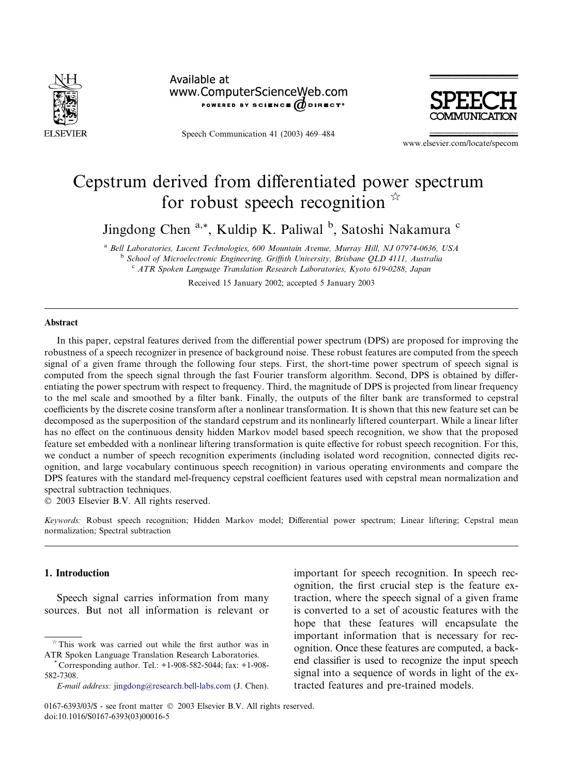

Available at www.ComputerScienceWeb.com POWERED BY SCIENCE  $\bm{\theta}$  direct<sup>®</sup>

Speech Communication 41 (2003) 469–484



www.elsevier.com/locate/specom

# Cepstrum derived from differentiated power spectrum for robust speech recognition  $\overline{r}$

Jingdong Chen<sup>a,\*</sup>, Kuldip K. Paliwal <sup>b</sup>, Satoshi Nakamura <sup>c</sup>

<sup>a</sup> Bell Laboratories, Lucent Technologies, 600 Mountain Avenue, Murray Hill, NJ 07974-0636, USA <sup>b</sup> School of Microelectronic Engineering, Griffith University, Brisbane QLD 4111, Australia <sup>c</sup> ATR Spoken Language Translation Research Laboratories, Kyoto 619-0288, Japan

Received 15 January 2002; accepted 5 January 2003

#### Abstract

In this paper, cepstral features derived from the differential power spectrum (DPS) are proposed for improving the robustness of a speech recognizer in presence of background noise. These robust features are computed from the speech signal of a given frame through the following four steps. First, the short-time power spectrum of speech signal is computed from the speech signal through the fast Fourier transform algorithm. Second, DPS is obtained by differentiating the power spectrum with respect to frequency. Third, the magnitude of DPS is projected from linear frequency to the mel scale and smoothed by a filter bank. Finally, the outputs of the filter bank are transformed to cepstral coefficients by the discrete cosine transform after a nonlinear transformation. It is shown that this new feature set can be decomposed as the superposition of the standard cepstrum and its nonlinearly liftered counterpart. While a linear lifter has no effect on the continuous density hidden Markov model based speech recognition, we show that the proposed feature set embedded with a nonlinear liftering transformation is quite effective for robust speech recognition. For this, we conduct a number of speech recognition experiments (including isolated word recognition, connected digits recognition, and large vocabulary continuous speech recognition) in various operating environments and compare the DPS features with the standard mel-frequency cepstral coefficient features used with cepstral mean normalization and spectral subtraction techniques.

2003 Elsevier B.V. All rights reserved.

Keywords: Robust speech recognition; Hidden Markov model; Differential power spectrum; Linear liftering; Cepstral mean normalization; Spectral subtraction

# 1. Introduction

Speech signal carries information from many sources. But not all information is relevant or important for speech recognition. In speech recognition, the first crucial step is the feature extraction, where the speech signal of a given frame is converted to a set of acoustic features with the hope that these features will encapsulate the important information that is necessary for recognition. Once these features are computed, a backend classifier is used to recognize the input speech signal into a sequence of words in light of the extracted features and pre-trained models.

 $*$  This work was carried out while the first author was in ATRSpoken Language Translation Research Laboratories. \* Corresponding author. Tel.: +1-908-582-5044; fax: +1-908-

<sup>582-7308.</sup>

E-mail address: [jingdong@research.bell-labs.com](mail to: jingdong@research.bell-labs.com) (J. Chen).

<sup>0167-6393/03/\$ -</sup> see front matter  $\odot$  2003 Elsevier B.V. All rights reserved. doi:10.1016/S0167-6393(03)00016-5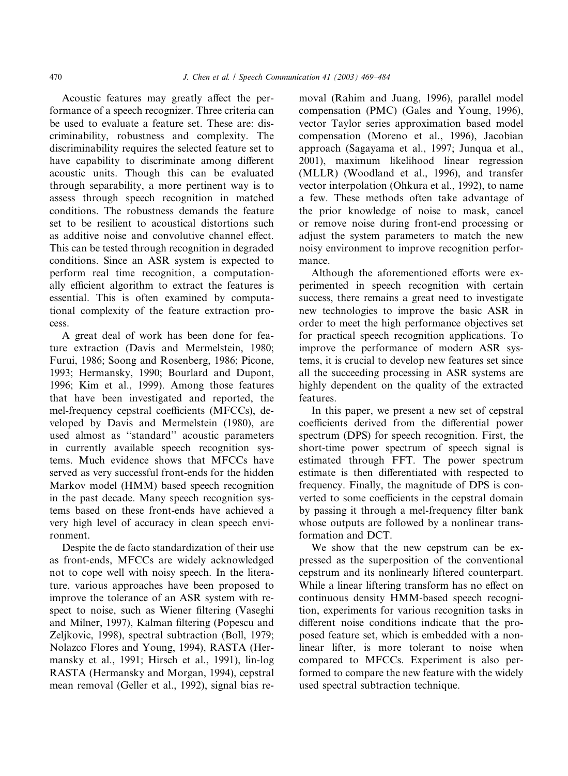Acoustic features may greatly affect the performance of a speech recognizer. Three criteria can be used to evaluate a feature set. These are: discriminability, robustness and complexity. The discriminability requires the selected feature set to have capability to discriminate among different acoustic units. Though this can be evaluated through separability, a more pertinent way is to assess through speech recognition in matched conditions. The robustness demands the feature set to be resilient to acoustical distortions such as additive noise and convolutive channel effect. This can be tested through recognition in degraded conditions. Since an ASR system is expected to perform real time recognition, a computationally efficient algorithm to extract the features is essential. This is often examined by computational complexity of the feature extraction process.

A great deal of work has been done for feature extraction (Davis and Mermelstein, 1980; Furui, 1986; Soong and Rosenberg, 1986; Picone, 1993; Hermansky, 1990; Bourlard and Dupont, 1996; Kim et al., 1999). Among those features that have been investigated and reported, the mel-frequency cepstral coefficients (MFCCs), developed by Davis and Mermelstein (1980), are used almost as ''standard'' acoustic parameters in currently available speech recognition systems. Much evidence shows that MFCCs have served as very successful front-ends for the hidden Markov model (HMM) based speech recognition in the past decade. Many speech recognition systems based on these front-ends have achieved a very high level of accuracy in clean speech environment.

Despite the de facto standardization of their use as front-ends, MFCCs are widely acknowledged not to cope well with noisy speech. In the literature, various approaches have been proposed to improve the tolerance of an ASR system with respect to noise, such as Wiener filtering (Vaseghi and Milner, 1997), Kalman filtering (Popescu and Zeljkovic, 1998), spectral subtraction (Boll, 1979; Nolazco Flores and Young, 1994), RASTA (Hermansky et al., 1991; Hirsch et al., 1991), lin-log RASTA (Hermansky and Morgan, 1994), cepstral mean removal (Geller et al., 1992), signal bias removal (Rahim and Juang, 1996), parallel model compensation (PMC) (Gales and Young, 1996), vector Taylor series approximation based model compensation (Moreno et al., 1996), Jacobian approach (Sagayama et al., 1997; Junqua et al., 2001), maximum likelihood linear regression (MLLR) (Woodland et al., 1996), and transfer vector interpolation (Ohkura et al., 1992), to name a few. These methods often take advantage of the prior knowledge of noise to mask, cancel or remove noise during front-end processing or adjust the system parameters to match the new noisy environment to improve recognition performance.

Although the aforementioned efforts were experimented in speech recognition with certain success, there remains a great need to investigate new technologies to improve the basic ASR in order to meet the high performance objectives set for practical speech recognition applications. To improve the performance of modern ASR systems, it is crucial to develop new features set since all the succeeding processing in ASR systems are highly dependent on the quality of the extracted features.

In this paper, we present a new set of cepstral coefficients derived from the differential power spectrum (DPS) for speech recognition. First, the short-time power spectrum of speech signal is estimated through FFT. The power spectrum estimate is then differentiated with respected to frequency. Finally, the magnitude of DPS is converted to some coefficients in the cepstral domain by passing it through a mel-frequency filter bank whose outputs are followed by a nonlinear transformation and DCT.

We show that the new cepstrum can be expressed as the superposition of the conventional cepstrum and its nonlinearly liftered counterpart. While a linear liftering transform has no effect on continuous density HMM-based speech recognition, experiments for various recognition tasks in different noise conditions indicate that the proposed feature set, which is embedded with a nonlinear lifter, is more tolerant to noise when compared to MFCCs. Experiment is also performed to compare the new feature with the widely used spectral subtraction technique.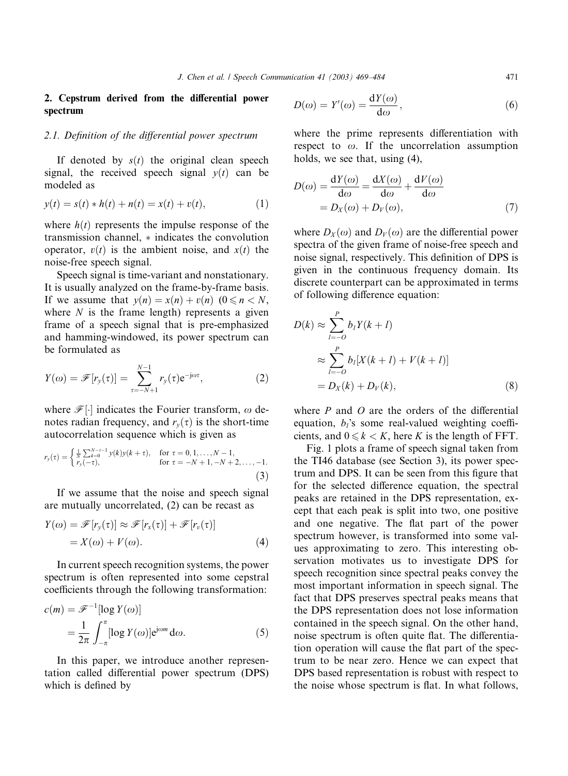# 2. Cepstrum derived from the differential power spectrum

# 2.1. Definition of the differential power spectrum

If denoted by  $s(t)$  the original clean speech signal, the received speech signal  $v(t)$  can be modeled as

$$
y(t) = s(t) * h(t) + n(t) = x(t) + v(t),
$$
\n(1)

where  $h(t)$  represents the impulse response of the transmission channel,  $*$  indicates the convolution operator,  $v(t)$  is the ambient noise, and  $x(t)$  the noise-free speech signal.

Speech signal is time-variant and nonstationary. It is usually analyzed on the frame-by-frame basis. If we assume that  $v(n) = x(n) + v(n)$   $(0 \le n \le N$ , where  $N$  is the frame length) represents a given frame of a speech signal that is pre-emphasized and hamming-windowed, its power spectrum can be formulated as

$$
Y(\omega) = \mathscr{F}[r_{y}(\tau)] = \sum_{\tau=-N+1}^{N-1} r_{y}(\tau) e^{-j\omega\tau}, \qquad (2)
$$

where  $\mathcal{F}[\cdot]$  indicates the Fourier transform,  $\omega$  denotes radian frequency, and  $r_v(\tau)$  is the short-time autocorrelation sequence which is given as

$$
r_{y}(\tau) = \begin{cases} \frac{1}{N} \sum_{k=0}^{N-\tau-1} y(k)y(k+\tau), & \text{for } \tau = 0, 1, \ldots, N-1, \\ r_{y}(-\tau), & \text{for } \tau = -N+1, -N+2, \ldots, -1. \end{cases}
$$
(3)

If we assume that the noise and speech signal are mutually uncorrelated, (2) can be recast as

$$
Y(\omega) = \mathscr{F}[r_{y}(\tau)] \approx \mathscr{F}[r_{x}(\tau)] + \mathscr{F}[r_{v}(\tau)]
$$
  
=  $X(\omega) + V(\omega)$ . (4)

In current speech recognition systems, the power spectrum is often represented into some cepstral coefficients through the following transformation:

$$
c(m) = \mathcal{F}^{-1}[\log Y(\omega)]
$$
  
= 
$$
\frac{1}{2\pi} \int_{-\pi}^{\pi} [\log Y(\omega)] e^{j\omega m} d\omega.
$$
 (5)

In this paper, we introduce another representation called differential power spectrum (DPS) which is defined by

$$
D(\omega) = Y'(\omega) = \frac{\mathrm{d}Y(\omega)}{\mathrm{d}\omega},\tag{6}
$$

where the prime represents differentiation with respect to  $\omega$ . If the uncorrelation assumption holds, we see that, using (4),

$$
D(\omega) = \frac{dY(\omega)}{d\omega} = \frac{dX(\omega)}{d\omega} + \frac{dV(\omega)}{d\omega}
$$
  
=  $D_X(\omega) + D_V(\omega)$ , (7)

where  $D_X(\omega)$  and  $D_V(\omega)$  are the differential power spectra of the given frame of noise-free speech and noise signal, respectively. This definition of DPS is given in the continuous frequency domain. Its discrete counterpart can be approximated in terms of following difference equation:

$$
D(k) \approx \sum_{l=-O}^{P} b_l Y(k+l)
$$
  
\n
$$
\approx \sum_{l=-O}^{P} b_l [X(k+l) + V(k+l)]
$$
  
\n
$$
= D_X(k) + D_V(k),
$$
\n(8)

where  $P$  and  $O$  are the orders of the differential equation,  $b_i$ 's some real-valued weighting coefficients, and  $0 \le k \le K$ , here K is the length of FFT.

Fig. 1 plots a frame of speech signal taken from the TI46 database (see Section 3), its power spectrum and DPS. It can be seen from this figure that for the selected difference equation, the spectral peaks are retained in the DPS representation, except that each peak is split into two, one positive and one negative. The flat part of the power spectrum however, is transformed into some values approximating to zero. This interesting observation motivates us to investigate DPS for speech recognition since spectral peaks convey the most important information in speech signal. The fact that DPS preserves spectral peaks means that the DPS representation does not lose information contained in the speech signal. On the other hand, noise spectrum is often quite flat. The differentiation operation will cause the flat part of the spectrum to be near zero. Hence we can expect that DPS based representation is robust with respect to the noise whose spectrum is flat. In what follows,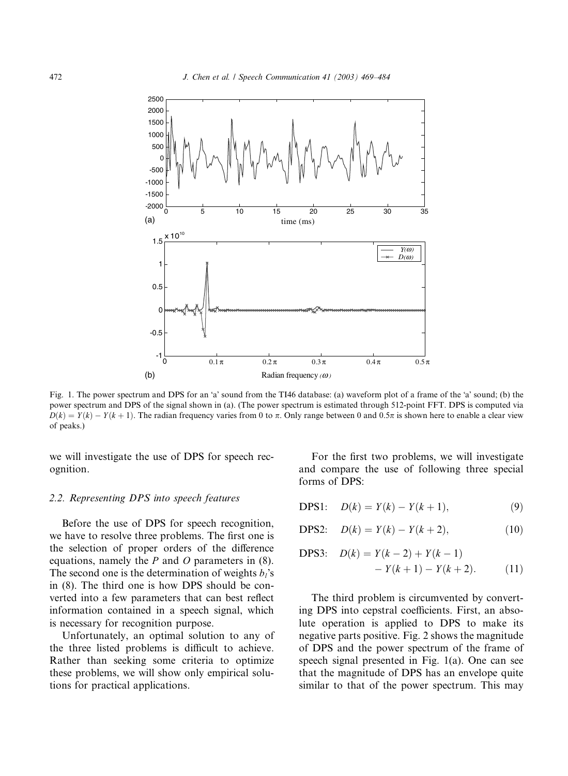

Fig. 1. The power spectrum and DPS for an 'a' sound from the TI46 database: (a) waveform plot of a frame of the 'a' sound; (b) the power spectrum and DPS of the signal shown in (a). (The power spectrum is estimated through 512-point FFT. DPS is computed via  $D(k) = Y(k) - Y(k+1)$ . The radian frequency varies from 0 to  $\pi$ . Only range between 0 and 0.5 $\pi$  is shown here to enable a clear view of peaks.)

we will investigate the use of DPS for speech recognition.

## 2.2. Representing DPS into speech features

Before the use of DPS for speech recognition, we have to resolve three problems. The first one is the selection of proper orders of the difference equations, namely the  $P$  and  $O$  parameters in (8). The second one is the determination of weights  $b_i$ 's in (8). The third one is how DPS should be converted into a few parameters that can best reflect information contained in a speech signal, which is necessary for recognition purpose.

Unfortunately, an optimal solution to any of the three listed problems is difficult to achieve. Rather than seeking some criteria to optimize these problems, we will show only empirical solutions for practical applications.

For the first two problems, we will investigate and compare the use of following three special forms of DPS:

$$
DPS1: \quad D(k) = Y(k) - Y(k+1), \tag{9}
$$

$$
DPS2: \quad D(k) = Y(k) - Y(k+2), \tag{10}
$$

$$
\begin{aligned} \text{DPS3:} \quad & D(k) = Y(k-2) + Y(k-1) \\ &- Y(k+1) - Y(k+2). \end{aligned} \tag{11}
$$

The third problem is circumvented by converting DPS into cepstral coefficients. First, an absolute operation is applied to DPS to make its negative parts positive. Fig. 2 shows the magnitude of DPS and the power spectrum of the frame of speech signal presented in Fig. 1(a). One can see that the magnitude of DPS has an envelope quite similar to that of the power spectrum. This may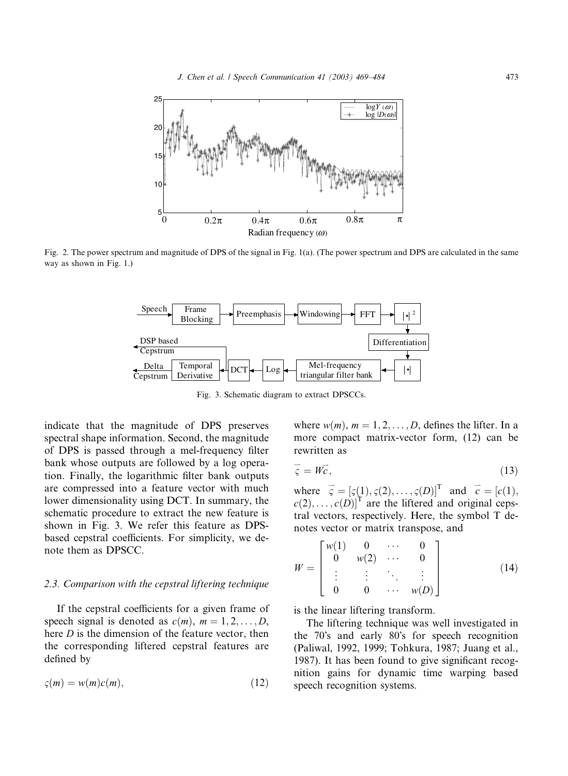

Fig. 2. The power spectrum and magnitude of DPS of the signal in Fig. 1(a). (The power spectrum and DPS are calculated in the same way as shown in Fig. 1.)



Fig. 3. Schematic diagram to extract DPSCCs.

indicate that the magnitude of DPS preserves spectral shape information. Second, the magnitude of DPS is passed through a mel-frequency filter bank whose outputs are followed by a log operation. Finally, the logarithmic filter bank outputs are compressed into a feature vector with much lower dimensionality using DCT. In summary, the schematic procedure to extract the new feature is shown in Fig. 3. We refer this feature as DPSbased cepstral coefficients. For simplicity, we denote them as DPSCC.

# 2.3. Comparison with the cepstral liftering technique

If the cepstral coefficients for a given frame of speech signal is denoted as  $c(m)$ ,  $m = 1, 2, \ldots, D$ , here *D* is the dimension of the feature vector, then the corresponding liftered cepstral features are defined by

$$
\varsigma(m) = w(m)c(m),\tag{12}
$$

where  $w(m)$ ,  $m = 1, 2, \dots, D$ , defines the lifter. In a more compact matrix-vector form, (12) can be rewritten as

$$
\vec{\zeta} = W\vec{c},\tag{13}
$$

where  $\vec{\zeta} = [\zeta(1), \zeta(2), \dots, \zeta(D)]^{\text{T}}$  and  $\vec{c} = [c(1), \zeta(2), \dots, \zeta(D)]^{\text{T}}$  $c(2), \ldots, c(D)$ <sup>T</sup> are the liftered and original cepstral vectors, respectively. Here, the symbol T denotes vector or matrix transpose, and

$$
W = \begin{bmatrix} w(1) & 0 & \cdots & 0 \\ 0 & w(2) & \cdots & 0 \\ \vdots & \vdots & \ddots & \vdots \\ 0 & 0 & \cdots & w(D) \end{bmatrix}
$$
 (14)

is the linear liftering transform.

The liftering technique was well investigated in the 70's and early 80's for speech recognition (Paliwal, 1992, 1999; Tohkura, 1987; Juang et al., 1987). It has been found to give significant recognition gains for dynamic time warping based speech recognition systems.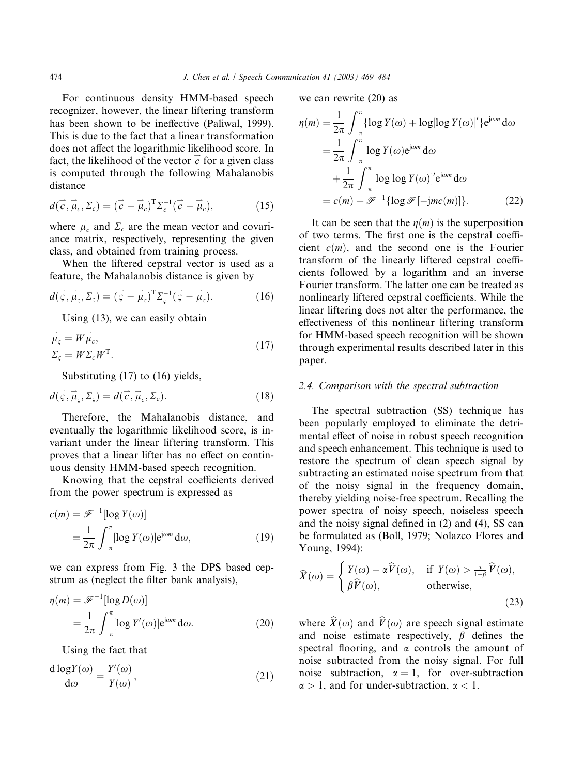For continuous density HMM-based speech recognizer, however, the linear liftering transform has been shown to be ineffective (Paliwal, 1999). This is due to the fact that a linear transformation does not affect the logarithmic likelihood score. In fact, the likelihood of the vector  $\vec{c}$  for a given class is computed through the following Mahalanobis distance

$$
d(\vec{c}, \vec{\mu}_c, \Sigma_c) = (\vec{c} - \vec{\mu}_c)^{\mathrm{T}} \Sigma_c^{-1} (\vec{c} - \vec{\mu}_c), \tag{15}
$$

where  $\vec{\mu}_c$  and  $\Sigma_c$  are the mean vector and covariance matrix, respectively, representing the given class, and obtained from training process.

When the liftered cepstral vector is used as a feature, the Mahalanobis distance is given by

$$
d(\vec{\zeta}, \vec{\mu}_{\varsigma}, \Sigma_{\varsigma}) = (\vec{\zeta} - \vec{\mu}_{\varsigma})^{\mathrm{T}} \Sigma_{\varsigma}^{-1} (\vec{\zeta} - \vec{\mu}_{\varsigma}). \tag{16}
$$

Using (13), we can easily obtain

$$
\vec{\mu}_{\varsigma} = W \vec{\mu}_{c},
$$
  
\n
$$
\Sigma_{\varsigma} = W \Sigma_{c} W^{\mathrm{T}}.
$$
\n(17)

Substituting (17) to (16) yields,

$$
d(\vec{\zeta}, \vec{\mu}_{\varsigma}, \Sigma_{\varsigma}) = d(\vec{c}, \vec{\mu}_{c}, \Sigma_{c}).
$$
\n(18)

Therefore, the Mahalanobis distance, and eventually the logarithmic likelihood score, is invariant under the linear liftering transform. This proves that a linear lifter has no effect on continuous density HMM-based speech recognition.

Knowing that the cepstral coefficients derived from the power spectrum is expressed as

$$
c(m) = \mathcal{F}^{-1}[\log Y(\omega)]
$$
  
= 
$$
\frac{1}{2\pi} \int_{-\pi}^{\pi} [\log Y(\omega)] e^{j\omega m} d\omega,
$$
 (19)

we can express from Fig. 3 the DPS based cepstrum as (neglect the filter bank analysis),

$$
\eta(m) = \mathcal{F}^{-1}[\log D(\omega)]
$$
  
= 
$$
\frac{1}{2\pi} \int_{-\pi}^{\pi} [\log Y'(\omega)] e^{j\omega m} d\omega.
$$
 (20)

Using the fact that

$$
\frac{d \log Y(\omega)}{d \omega} = \frac{Y'(\omega)}{Y(\omega)},\tag{21}
$$

we can rewrite (20) as

$$
\eta(m) = \frac{1}{2\pi} \int_{-\pi}^{\pi} \{ \log Y(\omega) + \log[\log Y(\omega)]' \} e^{j\omega m} d\omega
$$
  
\n
$$
= \frac{1}{2\pi} \int_{-\pi}^{\pi} \log Y(\omega) e^{j\omega m} d\omega
$$
  
\n
$$
+ \frac{1}{2\pi} \int_{-\pi}^{\pi} \log[\log Y(\omega)]' e^{j\omega m} d\omega
$$
  
\n
$$
= c(m) + \mathcal{F}^{-1} \{ \log \mathcal{F}[-jmc(m)] \}. \tag{22}
$$

It can be seen that the  $\eta(m)$  is the superposition of two terms. The first one is the cepstral coefficient  $c(m)$ , and the second one is the Fourier transform of the linearly liftered cepstral coefficients followed by a logarithm and an inverse Fourier transform. The latter one can be treated as nonlinearly liftered cepstral coefficients. While the linear liftering does not alter the performance, the effectiveness of this nonlinear liftering transform for HMM-based speech recognition will be shown through experimental results described later in this paper.

#### 2.4. Comparison with the spectral subtraction

The spectral subtraction (SS) technique has been popularly employed to eliminate the detrimental effect of noise in robust speech recognition and speech enhancement. This technique is used to restore the spectrum of clean speech signal by subtracting an estimated noise spectrum from that of the noisy signal in the frequency domain, thereby yielding noise-free spectrum. Recalling the power spectra of noisy speech, noiseless speech and the noisy signal defined in (2) and (4), SS can be formulated as (Boll, 1979; Nolazco Flores and Young, 1994):

$$
\widehat{X}(\omega) = \begin{cases} Y(\omega) - \alpha \widehat{V}(\omega), & \text{if } Y(\omega) > \frac{\alpha}{1-\beta} \widehat{V}(\omega), \\ \beta \widehat{V}(\omega), & \text{otherwise,} \end{cases}
$$
\n(23)

where  $X(\omega)$  and  $V(\omega)$  are speech signal estimate and noise estimate respectively,  $\beta$  defines the spectral flooring, and  $\alpha$  controls the amount of noise subtracted from the noisy signal. For full noise subtraction,  $\alpha = 1$ , for over-subtraction  $\alpha > 1$ , and for under-subtraction,  $\alpha < 1$ .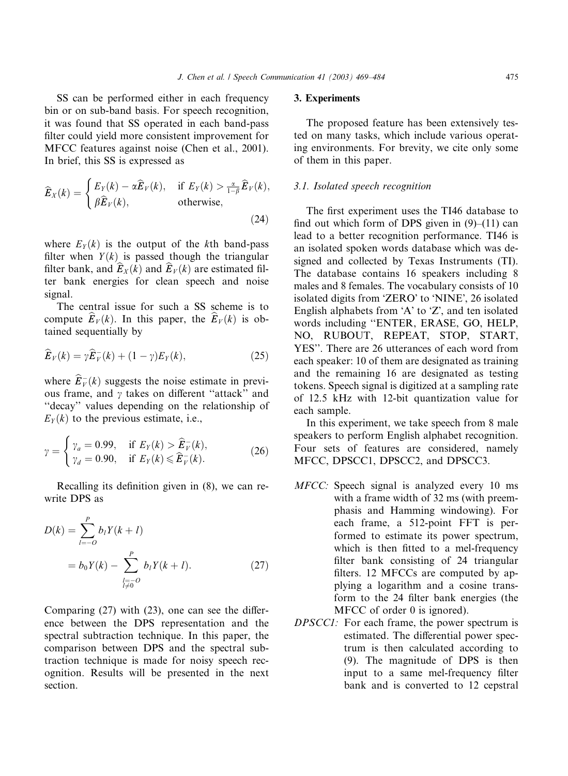SS can be performed either in each frequency bin or on sub-band basis. For speech recognition, it was found that SS operated in each band-pass filter could yield more consistent improvement for MFCC features against noise (Chen et al., 2001). In brief, this SS is expressed as

$$
\widehat{E}_X(k) = \begin{cases} E_Y(k) - \alpha \widehat{E}_Y(k), & \text{if } E_Y(k) > \frac{\alpha}{1-\beta} \widehat{E}_Y(k), \\ \beta \widehat{E}_Y(k), & \text{otherwise,} \end{cases}
$$
\n(24)

where  $E_Y(k)$  is the output of the kth band-pass filter when  $Y(k)$  is passed though the triangular filter bank, and  $E_X(k)$  and  $E_V(k)$  are estimated filter bank energies for clean speech and noise signal.

The central issue for such a SS scheme is to compute  $E_V(k)$ . In this paper, the  $E_V(k)$  is obtained sequentially by

$$
\widehat{E}_V(k) = \gamma \widehat{E}_V^-(k) + (1 - \gamma) E_Y(k), \qquad (25)
$$

where  $\widehat{E}_{V}^{-}(k)$  suggests the noise estimate in previous frame, and  $\gamma$  takes on different "attack" and ''decay'' values depending on the relationship of  $E_Y(k)$  to the previous estimate, i.e.,

$$
\gamma = \begin{cases} \gamma_a = 0.99, & \text{if } E_Y(k) > \widehat{E}_V^-(k), \\ \gamma_d = 0.90, & \text{if } E_Y(k) \leq \widehat{E}_V^-(k). \end{cases}
$$
 (26)

Recalling its definition given in (8), we can rewrite DPS as

$$
D(k) = \sum_{l=-O}^{P} b_l Y(k+l)
$$
  
=  $b_0 Y(k) - \sum_{\substack{l=-O \ l \neq 0}}^{P} b_l Y(k+l).$  (27)

Comparing (27) with (23), one can see the difference between the DPS representation and the spectral subtraction technique. In this paper, the comparison between DPS and the spectral subtraction technique is made for noisy speech recognition. Results will be presented in the next section.

### 3. Experiments

The proposed feature has been extensively tested on many tasks, which include various operating environments. For brevity, we cite only some of them in this paper.

# 3.1. Isolated speech recognition

The first experiment uses the TI46 database to find out which form of DPS given in  $(9)$ – $(11)$  can lead to a better recognition performance. TI46 is an isolated spoken words database which was designed and collected by Texas Instruments (TI). The database contains 16 speakers including 8 males and 8 females. The vocabulary consists of 10 isolated digits from 'ZERO' to 'NINE', 26 isolated English alphabets from  $A'$  to  $Z'$ , and ten isolated words including ''ENTER, ERASE, GO, HELP, NO, RUBOUT, REPEAT, STOP, START, YES''. There are 26 utterances of each word from each speaker: 10 of them are designated as training and the remaining 16 are designated as testing tokens. Speech signal is digitized at a sampling rate of 12.5 kHz with 12-bit quantization value for each sample.

In this experiment, we take speech from 8 male speakers to perform English alphabet recognition. Four sets of features are considered, namely MFCC, DPSCC1, DPSCC2, and DPSCC3.

- MFCC: Speech signal is analyzed every 10 ms with a frame width of 32 ms (with preemphasis and Hamming windowing). For each frame, a 512-point FFT is performed to estimate its power spectrum, which is then fitted to a mel-frequency filter bank consisting of 24 triangular filters. 12 MFCCs are computed by applying a logarithm and a cosine transform to the 24 filter bank energies (the MFCC of order 0 is ignored).
- DPSCC1: For each frame, the power spectrum is estimated. The differential power spectrum is then calculated according to (9). The magnitude of DPS is then input to a same mel-frequency filter bank and is converted to 12 cepstral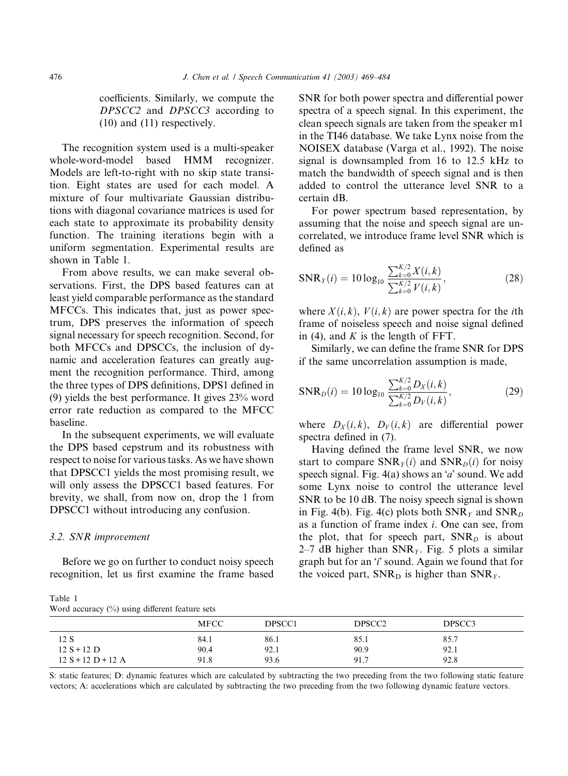coefficients. Similarly, we compute the DPSCC2 and DPSCC3 according to (10) and (11) respectively.

The recognition system used is a multi-speaker whole-word-model based HMM recognizer. Models are left-to-right with no skip state transition. Eight states are used for each model. A mixture of four multivariate Gaussian distributions with diagonal covariance matrices is used for each state to approximate its probability density function. The training iterations begin with a uniform segmentation. Experimental results are shown in Table 1.

From above results, we can make several observations. First, the DPS based features can at least yield comparable performance as the standard MFCCs. This indicates that, just as power spectrum, DPS preserves the information of speech signal necessary for speech recognition. Second, for both MFCCs and DPSCCs, the inclusion of dynamic and acceleration features can greatly augment the recognition performance. Third, among the three types of DPS definitions, DPS1 defined in (9) yields the best performance. It gives 23% word error rate reduction as compared to the MFCC baseline.

In the subsequent experiments, we will evaluate the DPS based cepstrum and its robustness with respect to noise for various tasks. As we have shown that DPSCC1 yields the most promising result, we will only assess the DPSCC1 based features. For brevity, we shall, from now on, drop the 1 from DPSCC1 without introducing any confusion.

#### 3.2. SNR improvement

Before we go on further to conduct noisy speech recognition, let us first examine the frame based

Table 1 Word accuracy (%) using different feature sets

SNR for both power spectra and differential power spectra of a speech signal. In this experiment, the clean speech signals are taken from the speaker m1 in the TI46 database. We take Lynx noise from the NOISEX database (Varga et al., 1992). The noise signal is downsampled from 16 to 12.5 kHz to match the bandwidth of speech signal and is then added to control the utterance level SNR to a certain dB.

For power spectrum based representation, by assuming that the noise and speech signal are uncorrelated, we introduce frame level SNR which is defined as

$$
SNR_Y(i) = 10 \log_{10} \frac{\sum_{k=0}^{K/2} X(i,k)}{\sum_{k=0}^{K/2} V(i,k)},
$$
\n(28)

where  $X(i, k)$ ,  $V(i, k)$  are power spectra for the *i*th frame of noiseless speech and noise signal defined in (4), and  $K$  is the length of FFT.

Similarly, we can define the frame SNR for DPS if the same uncorrelation assumption is made,

$$
SNR_D(i) = 10 \log_{10} \frac{\sum_{k=0}^{K/2} D_X(i,k)}{\sum_{k=0}^{K/2} D_V(i,k)},
$$
\n(29)

where  $D_X(i,k)$ ,  $D_V(i,k)$  are differential power spectra defined in (7).

Having defined the frame level SNR, we now start to compare  $SNR_{\gamma}(i)$  and  $SNR_{\gamma}(i)$  for noisy speech signal. Fig.  $4(a)$  shows an 'a' sound. We add some Lynx noise to control the utterance level SNR to be 10 dB. The noisy speech signal is shown in Fig. 4(b). Fig. 4(c) plots both  $SNR_y$  and  $SNR_p$ as a function of frame index i. One can see, from the plot, that for speech part,  $SNR<sub>D</sub>$  is about 2–7 dB higher than  $SNR_y$ . Fig. 5 plots a similar graph but for an 'i' sound. Again we found that for the voiced part,  $SNR<sub>D</sub>$  is higher than  $SNR<sub>Y</sub>$ .

|                      | <b>MFCC</b> | DPSCC1 | DPSCC2 | DPSCC3 |
|----------------------|-------------|--------|--------|--------|
| 12 S                 | 84.1        | 86.1   | 85.1   | 85.7   |
| $12 S + 12 D$        | 90.4        | 92.1   | 90.9   | 92.1   |
| $12 S + 12 D + 12 A$ | 91.8        | 93.6   | 91.7   | 92.8   |

S: static features; D: dynamic features which are calculated by subtracting the two preceding from the two following static feature vectors; A: accelerations which are calculated by subtracting the two preceding from the two following dynamic feature vectors.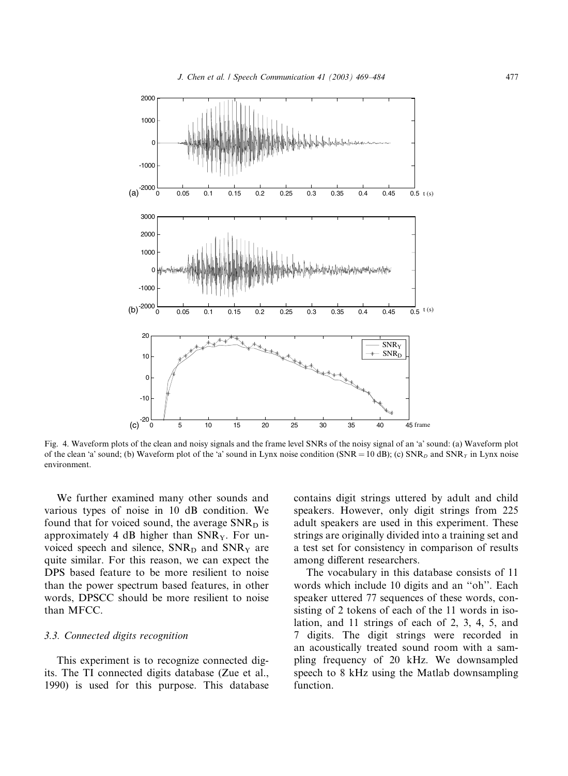

Fig. 4. Waveform plots of the clean and noisy signals and the frame level SNRs of the noisy signal of an 'a' sound: (a) Waveform plot of the clean 'a' sound; (b) Waveform plot of the 'a' sound in Lynx noise condition (SNR = 10 dB); (c) SNR<sub>D</sub> and SNR<sub>Y</sub> in Lynx noise environment.

We further examined many other sounds and various types of noise in 10 dB condition. We found that for voiced sound, the average  $SNR<sub>D</sub>$  is approximately 4 dB higher than  $SNR<sub>Y</sub>$ . For unvoiced speech and silence,  $SNR<sub>D</sub>$  and  $SNR<sub>Y</sub>$  are quite similar. For this reason, we can expect the DPS based feature to be more resilient to noise than the power spectrum based features, in other words, DPSCC should be more resilient to noise than MFCC.

# 3.3. Connected digits recognition

This experiment is to recognize connected digits. The TI connected digits database (Zue et al., 1990) is used for this purpose. This database contains digit strings uttered by adult and child speakers. However, only digit strings from 225 adult speakers are used in this experiment. These strings are originally divided into a training set and a test set for consistency in comparison of results among different researchers.

The vocabulary in this database consists of 11 words which include 10 digits and an ''oh''. Each speaker uttered 77 sequences of these words, consisting of 2 tokens of each of the 11 words in isolation, and 11 strings of each of 2, 3, 4, 5, and 7 digits. The digit strings were recorded in an acoustically treated sound room with a sampling frequency of 20 kHz. We downsampled speech to 8 kHz using the Matlab downsampling function.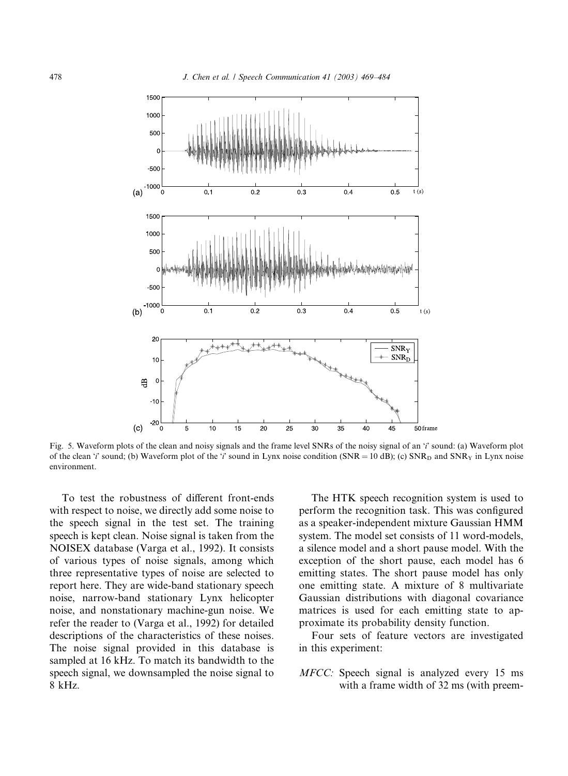

Fig. 5. Waveform plots of the clean and noisy signals and the frame level SNRs of the noisy signal of an 'i' sound: (a) Waveform plot of the clean '*i*' sound; (b) Waveform plot of the '*i*' sound in Lynx noise condition (SNR = 10 dB); (c) SNR<sub>D</sub> and SNR<sub>Y</sub> in Lynx noise environment.

To test the robustness of different front-ends with respect to noise, we directly add some noise to the speech signal in the test set. The training speech is kept clean. Noise signal is taken from the NOISEX database (Varga et al., 1992). It consists of various types of noise signals, among which three representative types of noise are selected to report here. They are wide-band stationary speech noise, narrow-band stationary Lynx helicopter noise, and nonstationary machine-gun noise. We refer the reader to (Varga et al., 1992) for detailed descriptions of the characteristics of these noises. The noise signal provided in this database is sampled at 16 kHz. To match its bandwidth to the speech signal, we downsampled the noise signal to 8 kHz.

The HTK speech recognition system is used to perform the recognition task. This was configured as a speaker-independent mixture Gaussian HMM system. The model set consists of 11 word-models, a silence model and a short pause model. With the exception of the short pause, each model has 6 emitting states. The short pause model has only one emitting state. A mixture of 8 multivariate Gaussian distributions with diagonal covariance matrices is used for each emitting state to approximate its probability density function.

Four sets of feature vectors are investigated in this experiment:

MFCC: Speech signal is analyzed every 15 ms with a frame width of 32 ms (with preem-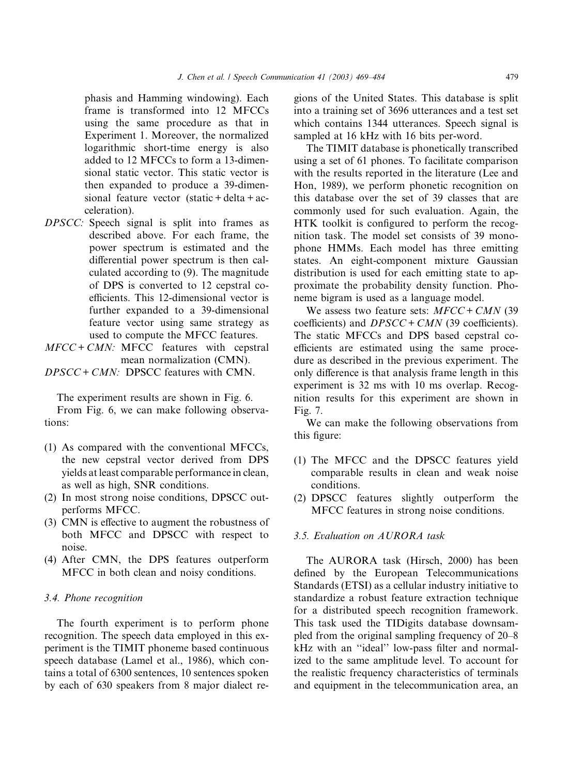phasis and Hamming windowing). Each frame is transformed into 12 MFCCs using the same procedure as that in Experiment 1. Moreover, the normalized logarithmic short-time energy is also added to 12 MFCCs to form a 13-dimensional static vector. This static vector is then expanded to produce a 39-dimensional feature vector (static + delta + acceleration).

- DPSCC: Speech signal is split into frames as described above. For each frame, the power spectrum is estimated and the differential power spectrum is then calculated according to (9). The magnitude of DPS is converted to 12 cepstral coefficients. This 12-dimensional vector is further expanded to a 39-dimensional feature vector using same strategy as used to compute the MFCC features.
- $MFCC + CMN$ : MFCC features with cepstral mean normalization (CMN).
- $DPSCC + CMN$ : DPSCC features with CMN.

The experiment results are shown in Fig. 6. From Fig. 6, we can make following observations:

- (1) As compared with the conventional MFCCs, the new cepstral vector derived from DPS yields at least comparable performance in clean, as well as high, SNR conditions.
- (2) In most strong noise conditions, DPSCC outperforms MFCC.
- (3) CMN is effective to augment the robustness of both MFCC and DPSCC with respect to noise.
- (4) After CMN, the DPS features outperform MFCC in both clean and noisy conditions.

# 3.4. Phone recognition

The fourth experiment is to perform phone recognition. The speech data employed in this experiment is the TIMIT phoneme based continuous speech database (Lamel et al., 1986), which contains a total of 6300 sentences, 10 sentences spoken by each of 630 speakers from 8 major dialect regions of the United States. This database is split into a training set of 3696 utterances and a test set which contains 1344 utterances. Speech signal is sampled at 16 kHz with 16 bits per-word.

The TIMIT database is phonetically transcribed using a set of 61 phones. To facilitate comparison with the results reported in the literature (Lee and Hon, 1989), we perform phonetic recognition on this database over the set of 39 classes that are commonly used for such evaluation. Again, the HTK toolkit is configured to perform the recognition task. The model set consists of 39 monophone HMMs. Each model has three emitting states. An eight-component mixture Gaussian distribution is used for each emitting state to approximate the probability density function. Phoneme bigram is used as a language model.

We assess two feature sets:  $MFCC + CMN$  (39) coefficients) and  $DPSCC + CMN$  (39 coefficients). The static MFCCs and DPS based cepstral coefficients are estimated using the same procedure as described in the previous experiment. The only difference is that analysis frame length in this experiment is 32 ms with 10 ms overlap. Recognition results for this experiment are shown in Fig. 7.

We can make the following observations from this figure:

- (1) The MFCC and the DPSCC features yield comparable results in clean and weak noise conditions.
- (2) DPSCC features slightly outperform the MFCC features in strong noise conditions.

# 3.5. Evaluation on AURORA task

The AURORA task (Hirsch, 2000) has been defined by the European Telecommunications Standards (ETSI) as a cellular industry initiative to standardize a robust feature extraction technique for a distributed speech recognition framework. This task used the TIDigits database downsampled from the original sampling frequency of 20–8 kHz with an ''ideal'' low-pass filter and normalized to the same amplitude level. To account for the realistic frequency characteristics of terminals and equipment in the telecommunication area, an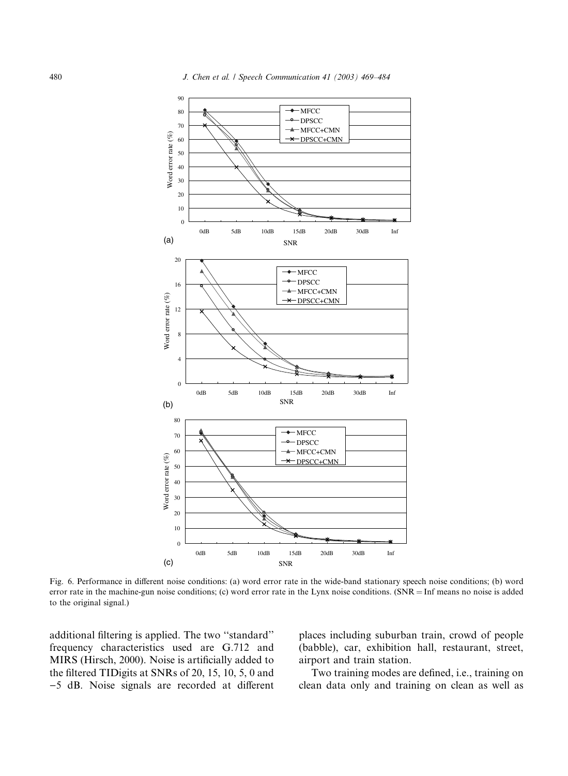

Fig. 6. Performance in different noise conditions: (a) word error rate in the wide-band stationary speech noise conditions; (b) word error rate in the machine-gun noise conditions; (c) word error rate in the Lynx noise conditions. (SNR = Inf means no noise is added to the original signal.)

additional filtering is applied. The two ''standard'' frequency characteristics used are G.712 and MIRS (Hirsch, 2000). Noise is artificially added to the filtered TIDigits at SNRs of 20, 15, 10, 5, 0 and )5 dB. Noise signals are recorded at different places including suburban train, crowd of people (babble), car, exhibition hall, restaurant, street, airport and train station.

Two training modes are defined, i.e., training on clean data only and training on clean as well as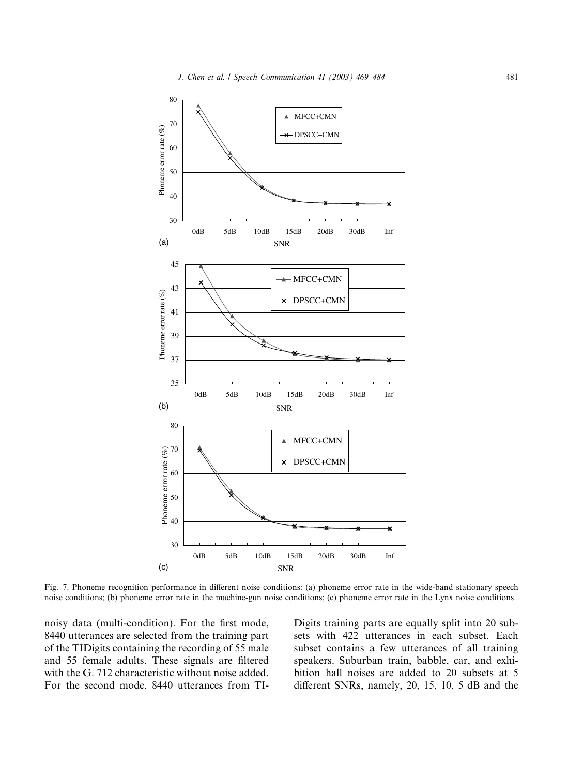

Fig. 7. Phoneme recognition performance in different noise conditions: (a) phoneme error rate in the wide-band stationary speech noise conditions; (b) phoneme error rate in the machine-gun noise conditions; (c) phoneme error rate in the Lynx noise conditions.

noisy data (multi-condition). For the first mode, 8440 utterances are selected from the training part of the TIDigits containing the recording of 55 male and 55 female adults. These signals are filtered with the G. 712 characteristic without noise added. For the second mode, 8440 utterances from TI-

Digits training parts are equally split into 20 subsets with 422 utterances in each subset. Each subset contains a few utterances of all training speakers. Suburban train, babble, car, and exhibition hall noises are added to 20 subsets at 5 different SNRs, namely, 20, 15, 10, 5 dB and the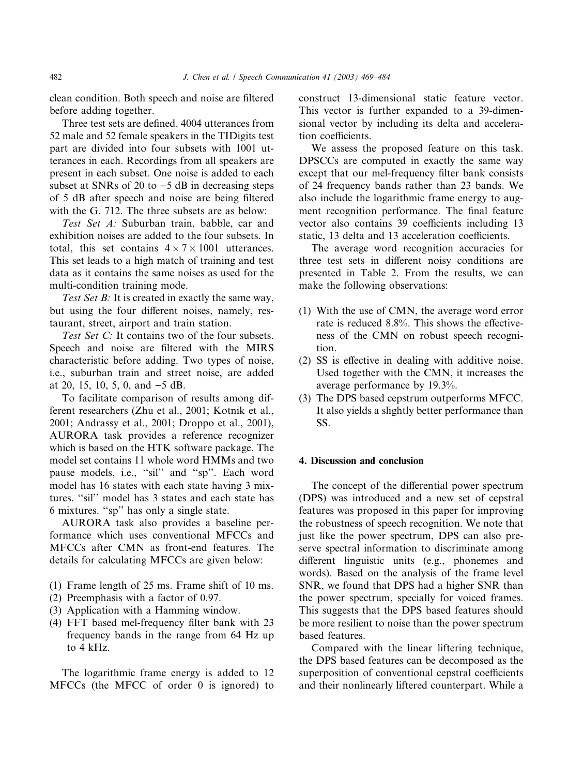clean condition. Both speech and noise are filtered before adding together.

Three test sets are defined. 4004 utterances from 52 male and 52 female speakers in the TIDigits test part are divided into four subsets with 1001 utterances in each. Recordings from all speakers are present in each subset. One noise is added to each subset at SNRs of 20 to  $-5$  dB in decreasing steps of 5 dB after speech and noise are being filtered with the G. 712. The three subsets are as below:

Test Set A: Suburban train, babble, car and exhibition noises are added to the four subsets. In total, this set contains  $4 \times 7 \times 1001$  utterances. This set leads to a high match of training and test data as it contains the same noises as used for the multi-condition training mode.

Test Set B: It is created in exactly the same way, but using the four different noises, namely, restaurant, street, airport and train station.

Test Set C: It contains two of the four subsets. Speech and noise are filtered with the MIRS characteristic before adding. Two types of noise, i.e., suburban train and street noise, are added at 20, 15, 10, 5, 0, and  $-5$  dB.

To facilitate comparison of results among different researchers (Zhu et al., 2001; Kotnik et al., 2001; Andrassy et al., 2001; Droppo et al., 2001), AURORA task provides a reference recognizer which is based on the HTK software package. The model set contains 11 whole word HMMs and two pause models, i.e., "sil" and "sp". Each word model has 16 states with each state having 3 mixtures. ''sil'' model has 3 states and each state has 6 mixtures. ''sp'' has only a single state.

AURORA task also provides a baseline performance which uses conventional MFCCs and MFCCs after CMN as front-end features. The details for calculating MFCCs are given below:

- (1) Frame length of 25 ms. Frame shift of 10 ms.
- (2) Preemphasis with a factor of 0.97.
- (3) Application with a Hamming window.
- (4) FFT based mel-frequency filter bank with 23 frequency bands in the range from 64 Hz up to 4 kHz.

The logarithmic frame energy is added to 12 MFCCs (the MFCC of order 0 is ignored) to construct 13-dimensional static feature vector. This vector is further expanded to a 39-dimensional vector by including its delta and acceleration coefficients.

We assess the proposed feature on this task. DPSCCs are computed in exactly the same way except that our mel-frequency filter bank consists of 24 frequency bands rather than 23 bands. We also include the logarithmic frame energy to augment recognition performance. The final feature vector also contains 39 coefficients including 13 static, 13 delta and 13 acceleration coefficients.

The average word recognition accuracies for three test sets in different noisy conditions are presented in Table 2. From the results, we can make the following observations:

- (1) With the use of CMN, the average word error rate is reduced 8.8%. This shows the effectiveness of the CMN on robust speech recognition.
- (2) SS is effective in dealing with additive noise. Used together with the CMN, it increases the average performance by 19.3%.
- (3) The DPS based cepstrum outperforms MFCC. It also yields a slightly better performance than SS.

## 4. Discussion and conclusion

The concept of the differential power spectrum (DPS) was introduced and a new set of cepstral features was proposed in this paper for improving the robustness of speech recognition. We note that just like the power spectrum, DPS can also preserve spectral information to discriminate among different linguistic units (e.g., phonemes and words). Based on the analysis of the frame level SNR, we found that DPS had a higher SNR than the power spectrum, specially for voiced frames. This suggests that the DPS based features should be more resilient to noise than the power spectrum based features.

Compared with the linear liftering technique, the DPS based features can be decomposed as the superposition of conventional cepstral coefficients and their nonlinearly liftered counterpart. While a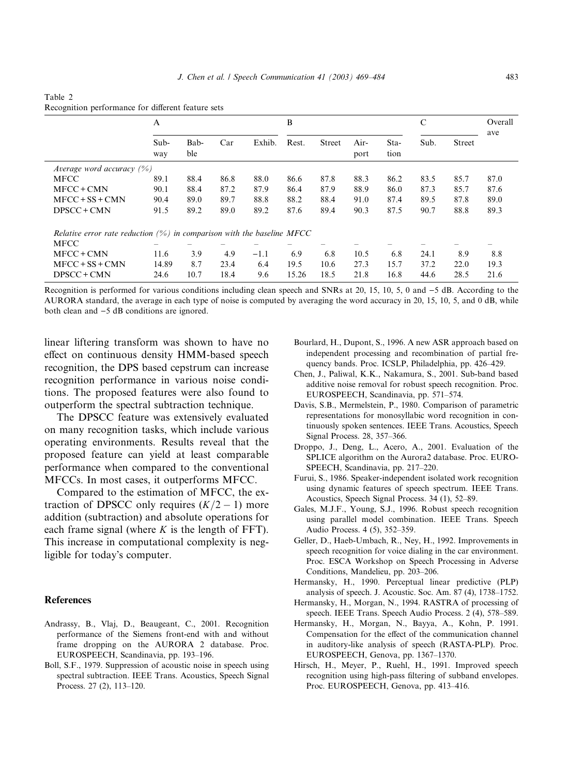#### Table 2 Recognition performance for different feature sets

|                                                                           | A           |             |      | B      |       |               | C            |              | Overall |               |      |
|---------------------------------------------------------------------------|-------------|-------------|------|--------|-------|---------------|--------------|--------------|---------|---------------|------|
|                                                                           | Sub-<br>way | Bab-<br>ble | Car  | Exhib. | Rest. | <b>Street</b> | Air-<br>port | Sta-<br>tion | Sub.    | <b>Street</b> | ave  |
| Average word accuracy $(\%)$                                              |             |             |      |        |       |               |              |              |         |               |      |
| <b>MFCC</b>                                                               | 89.1        | 88.4        | 86.8 | 88.0   | 86.6  | 87.8          | 88.3         | 86.2         | 83.5    | 85.7          | 87.0 |
| $MFCC + CMN$                                                              | 90.1        | 88.4        | 87.2 | 87.9   | 86.4  | 87.9          | 88.9         | 86.0         | 87.3    | 85.7          | 87.6 |
| $MFCC + SS + CMN$                                                         | 90.4        | 89.0        | 89.7 | 88.8   | 88.2  | 88.4          | 91.0         | 87.4         | 89.5    | 87.8          | 89.0 |
| DPSCC + CMN                                                               | 91.5        | 89.2        | 89.0 | 89.2   | 87.6  | 89.4          | 90.3         | 87.5         | 90.7    | 88.8          | 89.3 |
| Relative error rate reduction $(\%)$ in comparison with the baseline MFCC |             |             |      |        |       |               |              |              |         |               |      |
| <b>MFCC</b>                                                               |             |             |      |        |       |               |              |              |         |               |      |
| $MFCC + CMN$                                                              | 11.6        | 3.9         | 4.9  | $-1.1$ | 6.9   | 6.8           | 10.5         | 6.8          | 24.1    | 8.9           | 8.8  |
| $MFCC + SS + CMN$                                                         | 14.89       | 8.7         | 23.4 | 6.4    | 19.5  | 10.6          | 27.3         | 15.7         | 37.2    | 22.0          | 19.3 |
| DPSCC + CMN                                                               | 24.6        | 10.7        | 18.4 | 9.6    | 15.26 | 18.5          | 21.8         | 16.8         | 44.6    | 28.5          | 21.6 |

Recognition is performed for various conditions including clean speech and SNRs at 20, 15, 10, 5, 0 and  $-5$  dB. According to the AURORA standard, the average in each type of noise is computed by averaging the word accuracy in 20, 15, 10, 5, and 0 dB, while both clean and  $-5$  dB conditions are ignored.

linear liftering transform was shown to have no effect on continuous density HMM-based speech recognition, the DPS based cepstrum can increase recognition performance in various noise conditions. The proposed features were also found to outperform the spectral subtraction technique.

The DPSCC feature was extensively evaluated on many recognition tasks, which include various operating environments. Results reveal that the proposed feature can yield at least comparable performance when compared to the conventional MFCCs. In most cases, it outperforms MFCC.

Compared to the estimation of MFCC, the extraction of DPSCC only requires  $(K/2 - 1)$  more addition (subtraction) and absolute operations for each frame signal (where  $K$  is the length of FFT). This increase in computational complexity is negligible for today's computer.

# References

- Andrassy, B., Vlaj, D., Beaugeant, C., 2001. Recognition performance of the Siemens front-end with and without frame dropping on the AURORA 2 database. Proc. EUROSPEECH, Scandinavia, pp. 193–196.
- Boll, S.F., 1979. Suppression of acoustic noise in speech using spectral subtraction. IEEE Trans. Acoustics, Speech Signal Process. 27 (2), 113–120.
- Bourlard, H., Dupont, S., 1996. A new ASRapproach based on independent processing and recombination of partial frequency bands. Proc. ICSLP, Philadelphia, pp. 426–429.
- Chen, J., Paliwal, K.K., Nakamura, S., 2001. Sub-band based additive noise removal for robust speech recognition. Proc. EUROSPEECH, Scandinavia, pp. 571–574.
- Davis, S.B., Mermelstein, P., 1980. Comparison of parametric representations for monosyllabic word recognition in continuously spoken sentences. IEEE Trans. Acoustics, Speech Signal Process. 28, 357–366.
- Droppo, J., Deng, L., Acero, A., 2001. Evaluation of the SPLICE algorithm on the Aurora2 database. Proc. EURO-SPEECH, Scandinavia, pp. 217–220.
- Furui, S., 1986. Speaker-independent isolated work recognition using dynamic features of speech spectrum. IEEE Trans. Acoustics, Speech Signal Process. 34 (1), 52–89.
- Gales, M.J.F., Young, S.J., 1996. Robust speech recognition using parallel model combination. IEEE Trans. Speech Audio Process. 4 (5), 352–359.
- Geller, D., Haeb-Umbach, R., Ney, H., 1992. Improvements in speech recognition for voice dialing in the car environment. Proc. ESCA Workshop on Speech Processing in Adverse Conditions, Mandelieu, pp. 203–206.
- Hermansky, H., 1990. Perceptual linear predictive (PLP) analysis of speech. J. Acoustic. Soc. Am. 87 (4), 1738–1752.
- Hermansky, H., Morgan, N., 1994. RASTRA of processing of speech. IEEE Trans. Speech Audio Process. 2 (4), 578–589.
- Hermansky, H., Morgan, N., Bayya, A., Kohn, P. 1991. Compensation for the effect of the communication channel in auditory-like analysis of speech (RASTA-PLP). Proc. EUROSPEECH, Genova, pp. 1367–1370.
- Hirsch, H., Meyer, P., Ruehl, H., 1991. Improved speech recognition using high-pass filtering of subband envelopes. Proc. EUROSPEECH, Genova, pp. 413–416.